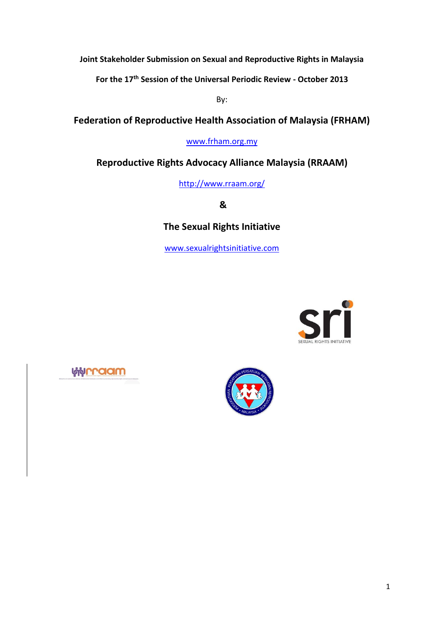**Joint Stakeholder Submission on Sexual and Reproductive Rights in Malaysia**

**For the 17th Session of the Universal Periodic Review - October 2013**

By:

**Federation of Reproductive Health Association of Malaysia (FRHAM)** 

[www.frham.org.my](http://www.frham.org.my/)

# **Reproductive Rights Advocacy Alliance Malaysia (RRAAM)**

<http://www.rraam.org/>

**&**

# **The Sexual Rights Initiative**

[www.sexualrightsinitiative.com](http://www.sexualrightsinitiative.com/)



**Viennam** 

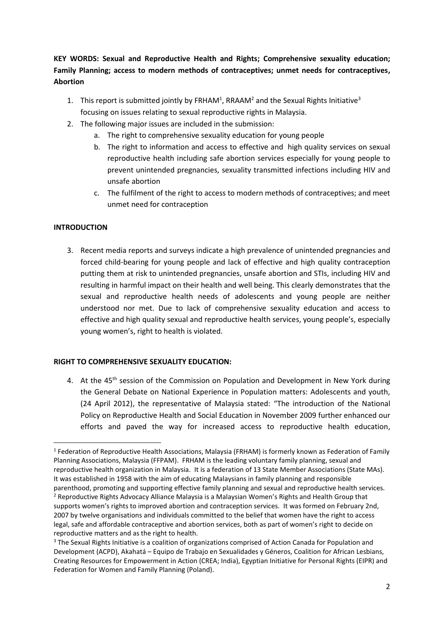**KEY WORDS: Sexual and Reproductive Health and Rights; Comprehensive sexuality education; Family Planning; access to modern methods of contraceptives; unmet needs for contraceptives, Abortion**

- 1. This report is submitted jointly by FRHAM<sup>1</sup>, RRAAM<sup>2</sup> and the Sexual Rights Initiative<sup>3</sup> focusing on issues relating to sexual reproductive rights in Malaysia.
- 2. The following major issues are included in the submission:
	- a. The right to comprehensive sexuality education for young people
	- b. The right to information and access to effective and high quality services on sexual reproductive health including safe abortion services especially for young people to prevent unintended pregnancies, sexuality transmitted infections including HIV and unsafe abortion
	- c. The fulfilment of the right to access to modern methods of contraceptives; and meet unmet need for contraception

## **INTRODUCTION**

 $\overline{a}$ 

3. Recent media reports and surveys indicate a high prevalence of unintended pregnancies and forced child-bearing for young people and lack of effective and high quality contraception putting them at risk to unintended pregnancies, unsafe abortion and STIs, including HIV and resulting in harmful impact on their health and well being. This clearly demonstrates that the sexual and reproductive health needs of adolescents and young people are neither understood nor met. Due to lack of comprehensive sexuality education and access to effective and high quality sexual and reproductive health services, young people's, especially young women's, right to health is violated.

## **RIGHT TO COMPREHENSIVE SEXUALITY EDUCATION:**

4. At the 45<sup>th</sup> session of the Commission on Population and Development in New York during the General Debate on National Experience in Population matters: Adolescents and youth, (24 April 2012), the representative of Malaysia stated: "The introduction of the National Policy on Reproductive Health and Social Education in November 2009 further enhanced our efforts and paved the way for increased access to reproductive health education,

<sup>&</sup>lt;sup>1</sup> Federation of Reproductive Health Associations, Malaysia (FRHAM) is formerly known as Federation of Family Planning Associations, Malaysia (FFPAM). FRHAM is the leading voluntary family planning, sexual and reproductive health organization in Malaysia. It is a federation of 13 State Member Associations (State MAs). It was established in 1958 with the aim of educating Malaysians in family planning and responsible parenthood, promoting and supporting effective family planning and sexual and reproductive health services. <sup>2</sup> Reproductive Rights Advocacy Alliance Malaysia is a Malaysian Women's Rights and Health Group that supports women's rights to improved abortion and contraception services. It was formed on February 2nd, 2007 by twelve organisations and individuals committed to the belief that women have the right to access legal, safe and affordable contraceptive and abortion services, both as part of women's right to decide on reproductive matters and as the right to health.

<sup>&</sup>lt;sup>3</sup> The Sexual Rights Initiative is a coalition of organizations comprised of Action Canada for Population and Development (ACPD), Akahatá – Equipo de Trabajo en Sexualidades y Géneros, Coalition for African Lesbians, Creating Resources for Empowerment in Action (CREA; India), Egyptian Initiative for Personal Rights (EIPR) and Federation for Women and Family Planning (Poland).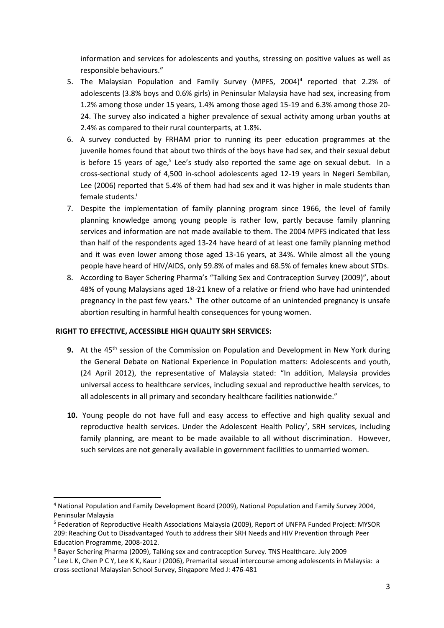information and services for adolescents and youths, stressing on positive values as well as responsible behaviours."

- 5. The Malaysian Population and Family Survey (MPFS, 2004)<sup>4</sup> reported that 2.2% of adolescents (3.8% boys and 0.6% girls) in Peninsular Malaysia have had sex, increasing from 1.2% among those under 15 years, 1.4% among those aged 15-19 and 6.3% among those 20- 24. The survey also indicated a higher prevalence of sexual activity among urban youths at 2.4% as compared to their rural counterparts, at 1.8%.
- 6. A survey conducted by FRHAM prior to running its peer education programmes at the juvenile homes found that about two thirds of the boys have had sex, and their sexual debut is before 15 years of age,<sup>5</sup> Lee's study also reported the same age on sexual debut. In a cross-sectional study of 4,500 in-school adolescents aged 12-19 years in Negeri Sembilan, Lee (2006) reported that 5.4% of them had had sex and it was higher in male students than female students.<sup>i</sup>
- 7. Despite the implementation of family planning program since 1966, the level of family planning knowledge among young people is rather low, partly because family planning services and information are not made available to them. The 2004 MPFS indicated that less than half of the respondents aged 13-24 have heard of at least one family planning method and it was even lower among those aged 13-16 years, at 34%. While almost all the young people have heard of HIV/AIDS, only 59.8% of males and 68.5% of females knew about STDs.
- 8. According to Bayer Schering Pharma's "Talking Sex and Contraception Survey (2009)", about 48% of young Malaysians aged 18-21 knew of a relative or friend who have had unintended pregnancy in the past few years.<sup>6</sup> The other outcome of an unintended pregnancy is unsafe abortion resulting in harmful health consequences for young women.

## **RIGHT TO EFFECTIVE, ACCESSIBLE HIGH QUALITY SRH SERVICES:**

**.** 

- **9.** At the 45<sup>th</sup> session of the Commission on Population and Development in New York during the General Debate on National Experience in Population matters: Adolescents and youth, (24 April 2012), the representative of Malaysia stated: "In addition, Malaysia provides universal access to healthcare services, including sexual and reproductive health services, to all adolescents in all primary and secondary healthcare facilities nationwide."
- **10.** Young people do not have full and easy access to effective and high quality sexual and reproductive health services. Under the Adolescent Health Policy<sup>7</sup>, SRH services, including family planning, are meant to be made available to all without discrimination. However, such services are not generally available in government facilities to unmarried women.

<sup>4</sup> National Population and Family Development Board (2009), National Population and Family Survey 2004, Peninsular Malaysia

<sup>5</sup> Federation of Reproductive Health Associations Malaysia (2009), Report of UNFPA Funded Project: MYSOR 209: Reaching Out to Disadvantaged Youth to address their SRH Needs and HIV Prevention through Peer Education Programme, 2008-2012.

<sup>6</sup> Bayer Schering Pharma (2009), Talking sex and contraception Survey. TNS Healthcare. July 2009

<sup>&</sup>lt;sup>7</sup> Lee L K, Chen P C Y, Lee K K, Kaur J (2006), Premarital sexual intercourse among adolescents in Malaysia: a cross-sectional Malaysian School Survey, Singapore Med J: 476-481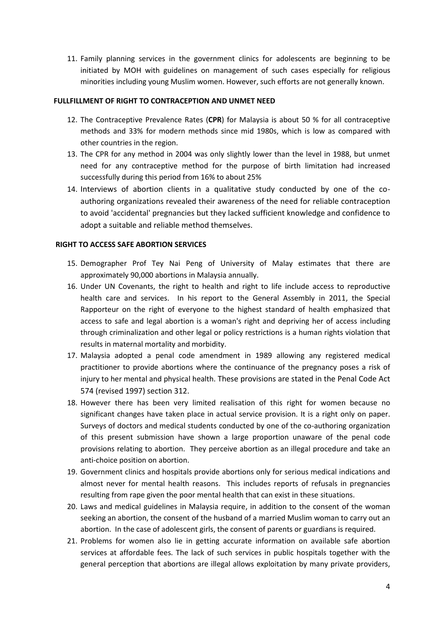11. Family planning services in the government clinics for adolescents are beginning to be initiated by MOH with guidelines on management of such cases especially for religious minorities including young Muslim women. However, such efforts are not generally known.

#### **FULLFILLMENT OF RIGHT TO CONTRACEPTION AND UNMET NEED**

- 12. The Contraceptive Prevalence Rates (**CPR**) for Malaysia is about 50 % for all contraceptive methods and 33% for modern methods since mid 1980s, which is low as compared with other countries in the region.
- 13. The CPR for any method in 2004 was only slightly lower than the level in 1988, but unmet need for any contraceptive method for the purpose of birth limitation had increased successfully during this period from 16% to about 25%
- 14. Interviews of abortion clients in a qualitative study conducted by one of the coauthoring organizations revealed their awareness of the need for reliable contraception to avoid 'accidental' pregnancies but they lacked sufficient knowledge and confidence to adopt a suitable and reliable method themselves.

#### **RIGHT TO ACCESS SAFE ABORTION SERVICES**

- 15. Demographer Prof Tey Nai Peng of University of Malay estimates that there are approximately 90,000 abortions in Malaysia annually.
- 16. Under UN Covenants, the right to health and right to life include access to reproductive health care and services. In his report to the General Assembly in 2011, the Special Rapporteur on the right of everyone to the highest standard of health emphasized that access to safe and legal abortion is a woman's right and depriving her of access including through criminalization and other legal or policy restrictions is a human rights violation that results in maternal mortality and morbidity.
- 17. Malaysia adopted a penal code amendment in 1989 allowing any registered medical practitioner to provide abortions where the continuance of the pregnancy poses a risk of injury to her mental and physical health. These provisions are stated in the Penal Code Act 574 (revised 1997) section 312.
- 18. However there has been very limited realisation of this right for women because no significant changes have taken place in actual service provision. It is a right only on paper. Surveys of doctors and medical students conducted by one of the co-authoring organization of this present submission have shown a large proportion unaware of the penal code provisions relating to abortion. They perceive abortion as an illegal procedure and take an anti-choice position on abortion.
- 19. Government clinics and hospitals provide abortions only for serious medical indications and almost never for mental health reasons. This includes reports of refusals in pregnancies resulting from rape given the poor mental health that can exist in these situations.
- 20. Laws and medical guidelines in Malaysia require, in addition to the consent of the woman seeking an abortion, the consent of the husband of a married Muslim woman to carry out an abortion. In the case of adolescent girls, the consent of parents or guardians is required.
- 21. Problems for women also lie in getting accurate information on available safe abortion services at affordable fees. The lack of such services in public hospitals together with the general perception that abortions are illegal allows exploitation by many private providers,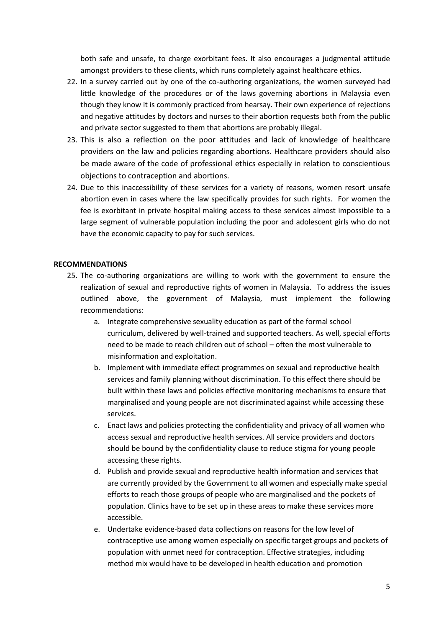both safe and unsafe, to charge exorbitant fees. It also encourages a judgmental attitude amongst providers to these clients, which runs completely against healthcare ethics.

- 22. In a survey carried out by one of the co-authoring organizations, the women surveyed had little knowledge of the procedures or of the laws governing abortions in Malaysia even though they know it is commonly practiced from hearsay. Their own experience of rejections and negative attitudes by doctors and nurses to their abortion requests both from the public and private sector suggested to them that abortions are probably illegal.
- 23. This is also a reflection on the poor attitudes and lack of knowledge of healthcare providers on the law and policies regarding abortions. Healthcare providers should also be made aware of the code of professional ethics especially in relation to conscientious objections to contraception and abortions.
- 24. Due to this inaccessibility of these services for a variety of reasons, women resort unsafe abortion even in cases where the law specifically provides for such rights. For women the fee is exorbitant in private hospital making access to these services almost impossible to a large segment of vulnerable population including the poor and adolescent girls who do not have the economic capacity to pay for such services.

#### **RECOMMENDATIONS**

- 25. The co-authoring organizations are willing to work with the government to ensure the realization of sexual and reproductive rights of women in Malaysia. To address the issues outlined above, the government of Malaysia, must implement the following recommendations:
	- a. Integrate comprehensive sexuality education as part of the formal school curriculum, delivered by well-trained and supported teachers. As well, special efforts need to be made to reach children out of school – often the most vulnerable to misinformation and exploitation.
	- b. Implement with immediate effect programmes on sexual and reproductive health services and family planning without discrimination. To this effect there should be built within these laws and policies effective monitoring mechanisms to ensure that marginalised and young people are not discriminated against while accessing these services.
	- c. Enact laws and policies protecting the confidentiality and privacy of all women who access sexual and reproductive health services. All service providers and doctors should be bound by the confidentiality clause to reduce stigma for young people accessing these rights.
	- d. Publish and provide sexual and reproductive health information and services that are currently provided by the Government to all women and especially make special efforts to reach those groups of people who are marginalised and the pockets of population. Clinics have to be set up in these areas to make these services more accessible.
	- e. Undertake evidence-based data collections on reasons for the low level of contraceptive use among women especially on specific target groups and pockets of population with unmet need for contraception. Effective strategies, including method mix would have to be developed in health education and promotion